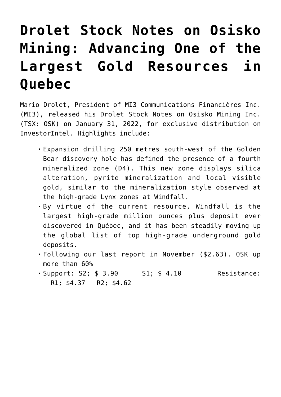## **[Drolet Stock Notes on Osisko](https://investorintel.com/markets/gold-silver-base-metals/gold-precious-metals-intel/drolet-stock-notes-on-osisko-mining-advancing-one-of-the-largest-gold-resources-in-quebec/) [Mining: Advancing One of the](https://investorintel.com/markets/gold-silver-base-metals/gold-precious-metals-intel/drolet-stock-notes-on-osisko-mining-advancing-one-of-the-largest-gold-resources-in-quebec/) [Largest Gold Resources in](https://investorintel.com/markets/gold-silver-base-metals/gold-precious-metals-intel/drolet-stock-notes-on-osisko-mining-advancing-one-of-the-largest-gold-resources-in-quebec/) [Quebec](https://investorintel.com/markets/gold-silver-base-metals/gold-precious-metals-intel/drolet-stock-notes-on-osisko-mining-advancing-one-of-the-largest-gold-resources-in-quebec/)**

Mario Drolet, President of MI3 Communications Financières Inc. (MI3), released his Drolet Stock Notes on [Osisko Mining Inc.](https://www.osiskomining.com/) (TSX: OSK) on January 31, 2022, for exclusive distribution on InvestorIntel. Highlights include:

- Expansion drilling 250 metres south-west of the Golden Bear discovery hole has defined the presence of a [fourth](https://www.osiskomining.com/osisko-confirms-new-high-grade-zone-at-golden-bear/) [mineralized zone](https://www.osiskomining.com/osisko-confirms-new-high-grade-zone-at-golden-bear/) (D4). This new zone displays silica alteration, pyrite mineralization and local visible gold, similar to the mineralization style observed at the high-grade Lynx zones at Windfall.
- By virtue of the current resource, Windfall is the largest high-grade million ounces plus deposit ever discovered in Québec, and it has been steadily moving up the global list of top high-grade underground gold deposits.
- Following our last report in November (\$2.63). OSK up more than 60%
- Support: S2; \$ 3.90 S1; \$ 4.10 Resistance: R1; \$4.37 R2; \$4.62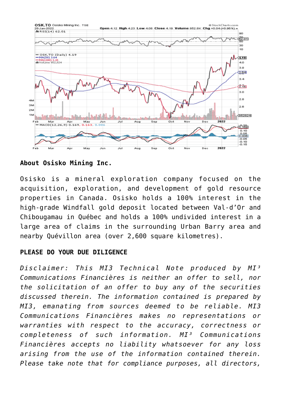

**About Osisko Mining Inc.**

Osisko is a mineral exploration company focused on the acquisition, exploration, and development of gold resource properties in Canada. Osisko holds a 100% interest in the high-grade Windfall gold deposit located between Val-d'Or and Chibougamau in Québec and holds a 100% undivided interest in a large area of claims in the surrounding Urban Barry area and nearby Quévillon area (over 2,600 square kilometres).

## **PLEASE DO YOUR DUE DILIGENCE**

*Disclaimer: This MI3 Technical Note produced by MI³ Communications Financières is neither an offer to sell, nor the solicitation of an offer to buy any of the securities discussed therein. The information contained is prepared by MI3, emanating from sources deemed to be reliable. MI3 Communications Financières makes no representations or warranties with respect to the accuracy, correctness or completeness of such information. MI³ Communications Financières accepts no liability whatsoever for any loss arising from the use of the information contained therein. Please take note that for compliance purposes, all directors,*